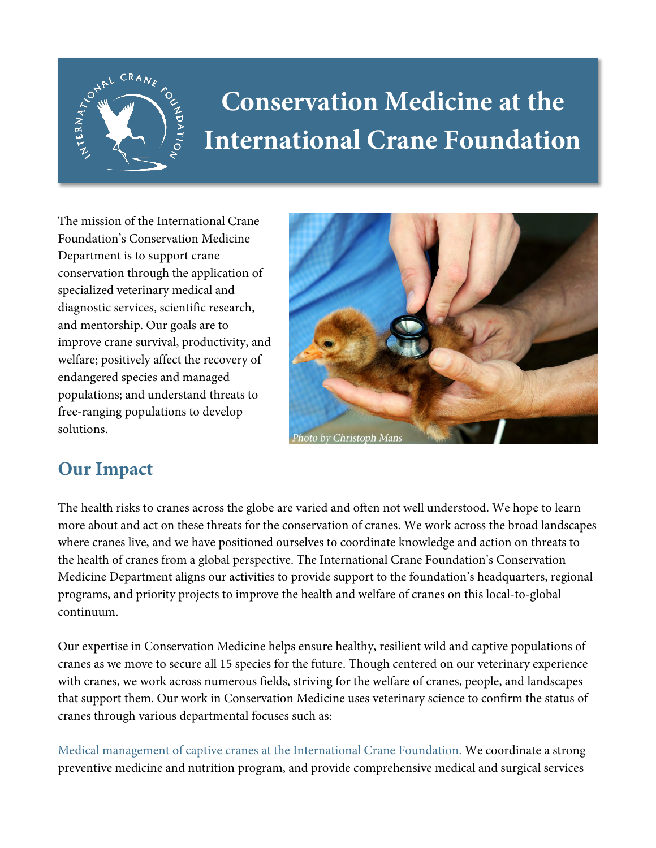

## **Conservation Medicine at the International Crane Foundation**

The mission of the International Crane Foundation's Conservation Medicine Department is to support crane conservation through the application of specialized veterinary medical and diagnostic services, scientific research, and mentorship. Our goals are to improve crane survival, productivity, and welfare; positively affect the recovery of endangered species and managed populations; and understand threats to free-ranging populations to develop solutions.



## **Our Impact**

The health risks to cranes across the globe are varied and often not well understood. We hope to learn more about and act on these threats for the conservation of cranes. We work across the broad landscapes where cranes live, and we have positioned ourselves to coordinate knowledge and action on threats to the health of cranes from a global perspective. The International Crane Foundation's Conservation Medicine Department aligns our activities to provide support to the foundation's headquarters, regional programs, and priority projects to improve the health and welfare of cranes on this local-to-global continuum.

Our expertise in Conservation Medicine helps ensure healthy, resilient wild and captive populations of cranes as we move to secure all 15 species for the future. Though centered on our veterinary experience with cranes, we work across numerous fields, striving for the welfare of cranes, people, and landscapes that support them. Our work in Conservation Medicine uses veterinary science to confirm the status of cranes through various departmental focuses such as:

Medical management of captive cranes at the International Crane Foundation. We coordinate a strong preventive medicine and nutrition program, and provide comprehensive medical and surgical services